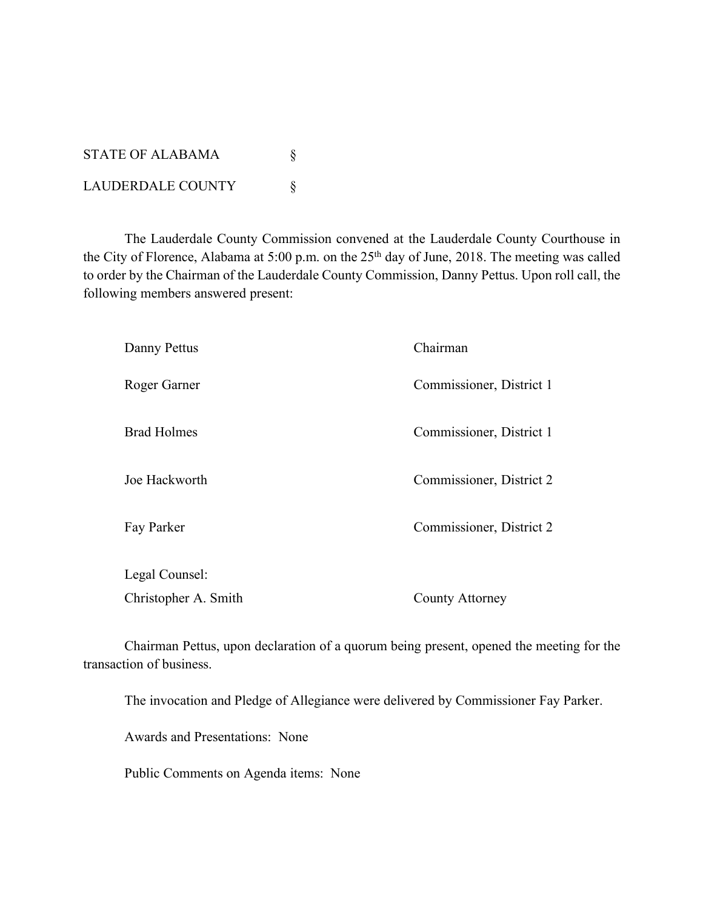STATE OF ALABAMA  $\S$ LAUDERDALE COUNTY \

The Lauderdale County Commission convened at the Lauderdale County Courthouse in the City of Florence, Alabama at 5:00 p.m. on the 25<sup>th</sup> day of June, 2018. The meeting was called to order by the Chairman of the Lauderdale County Commission, Danny Pettus. Upon roll call, the following members answered present:

| Danny Pettus         | Chairman                 |  |
|----------------------|--------------------------|--|
| Roger Garner         | Commissioner, District 1 |  |
| <b>Brad Holmes</b>   | Commissioner, District 1 |  |
| Joe Hackworth        | Commissioner, District 2 |  |
| Fay Parker           | Commissioner, District 2 |  |
| Legal Counsel:       |                          |  |
| Christopher A. Smith | <b>County Attorney</b>   |  |

Chairman Pettus, upon declaration of a quorum being present, opened the meeting for the transaction of business.

The invocation and Pledge of Allegiance were delivered by Commissioner Fay Parker.

Awards and Presentations: None

Public Comments on Agenda items: None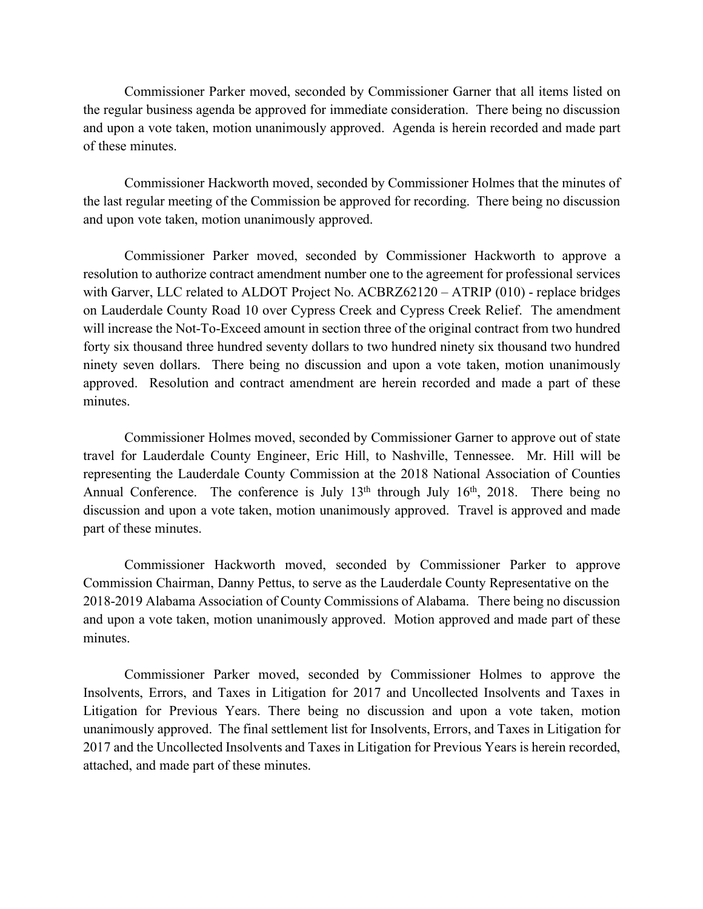Commissioner Parker moved, seconded by Commissioner Garner that all items listed on the regular business agenda be approved for immediate consideration. There being no discussion and upon a vote taken, motion unanimously approved. Agenda is herein recorded and made part of these minutes.

Commissioner Hackworth moved, seconded by Commissioner Holmes that the minutes of the last regular meeting of the Commission be approved for recording. There being no discussion and upon vote taken, motion unanimously approved.

Commissioner Parker moved, seconded by Commissioner Hackworth to approve a resolution to authorize contract amendment number one to the agreement for professional services with Garver, LLC related to ALDOT Project No. ACBRZ62120 – ATRIP (010) - replace bridges on Lauderdale County Road 10 over Cypress Creek and Cypress Creek Relief. The amendment will increase the Not-To-Exceed amount in section three of the original contract from two hundred forty six thousand three hundred seventy dollars to two hundred ninety six thousand two hundred ninety seven dollars. There being no discussion and upon a vote taken, motion unanimously approved. Resolution and contract amendment are herein recorded and made a part of these minutes.

Commissioner Holmes moved, seconded by Commissioner Garner to approve out of state travel for Lauderdale County Engineer, Eric Hill, to Nashville, Tennessee. Mr. Hill will be representing the Lauderdale County Commission at the 2018 National Association of Counties Annual Conference. The conference is July  $13<sup>th</sup>$  through July  $16<sup>th</sup>$ , 2018. There being no discussion and upon a vote taken, motion unanimously approved. Travel is approved and made part of these minutes.

Commissioner Hackworth moved, seconded by Commissioner Parker to approve Commission Chairman, Danny Pettus, to serve as the Lauderdale County Representative on the 2018-2019 Alabama Association of County Commissions of Alabama. There being no discussion and upon a vote taken, motion unanimously approved. Motion approved and made part of these minutes.

Commissioner Parker moved, seconded by Commissioner Holmes to approve the Insolvents, Errors, and Taxes in Litigation for 2017 and Uncollected Insolvents and Taxes in Litigation for Previous Years. There being no discussion and upon a vote taken, motion unanimously approved. The final settlement list for Insolvents, Errors, and Taxes in Litigation for 2017 and the Uncollected Insolvents and Taxes in Litigation for Previous Years is herein recorded, attached, and made part of these minutes.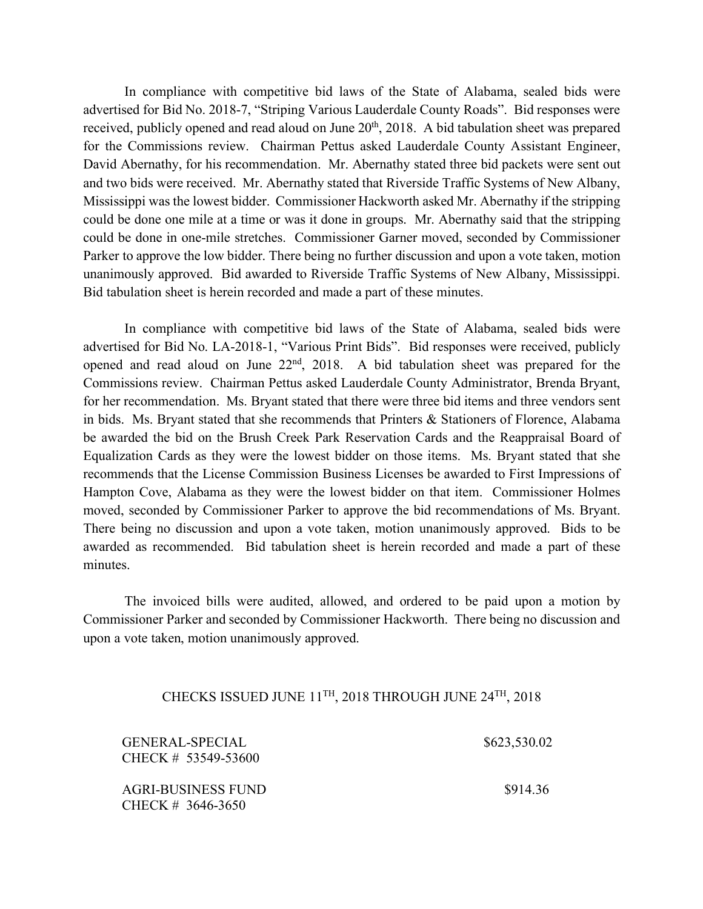In compliance with competitive bid laws of the State of Alabama, sealed bids were advertised for Bid No. 2018-7, "Striping Various Lauderdale County Roads". Bid responses were received, publicly opened and read aloud on June 20<sup>th</sup>, 2018. A bid tabulation sheet was prepared for the Commissions review. Chairman Pettus asked Lauderdale County Assistant Engineer, David Abernathy, for his recommendation. Mr. Abernathy stated three bid packets were sent out and two bids were received. Mr. Abernathy stated that Riverside Traffic Systems of New Albany, Mississippi was the lowest bidder. Commissioner Hackworth asked Mr. Abernathy if the stripping could be done one mile at a time or was it done in groups. Mr. Abernathy said that the stripping could be done in one-mile stretches. Commissioner Garner moved, seconded by Commissioner Parker to approve the low bidder. There being no further discussion and upon a vote taken, motion unanimously approved. Bid awarded to Riverside Traffic Systems of New Albany, Mississippi. Bid tabulation sheet is herein recorded and made a part of these minutes.

In compliance with competitive bid laws of the State of Alabama, sealed bids were advertised for Bid No. LA-2018-1, "Various Print Bids". Bid responses were received, publicly opened and read aloud on June 22nd, 2018. A bid tabulation sheet was prepared for the Commissions review. Chairman Pettus asked Lauderdale County Administrator, Brenda Bryant, for her recommendation. Ms. Bryant stated that there were three bid items and three vendors sent in bids. Ms. Bryant stated that she recommends that Printers & Stationers of Florence, Alabama be awarded the bid on the Brush Creek Park Reservation Cards and the Reappraisal Board of Equalization Cards as they were the lowest bidder on those items. Ms. Bryant stated that she recommends that the License Commission Business Licenses be awarded to First Impressions of Hampton Cove, Alabama as they were the lowest bidder on that item. Commissioner Holmes moved, seconded by Commissioner Parker to approve the bid recommendations of Ms. Bryant. There being no discussion and upon a vote taken, motion unanimously approved. Bids to be awarded as recommended. Bid tabulation sheet is herein recorded and made a part of these minutes.

The invoiced bills were audited, allowed, and ordered to be paid upon a motion by Commissioner Parker and seconded by Commissioner Hackworth. There being no discussion and upon a vote taken, motion unanimously approved.

## CHECKS ISSUED JUNE 11TH, 2018 THROUGH JUNE 24TH, 2018

| <b>GENERAL-SPECIAL</b><br>CHECK # 53549-53600 | \$623,530.02 |
|-----------------------------------------------|--------------|
| AGRI-BUSINESS FUND<br>CHECK # 3646-3650       | \$914.36     |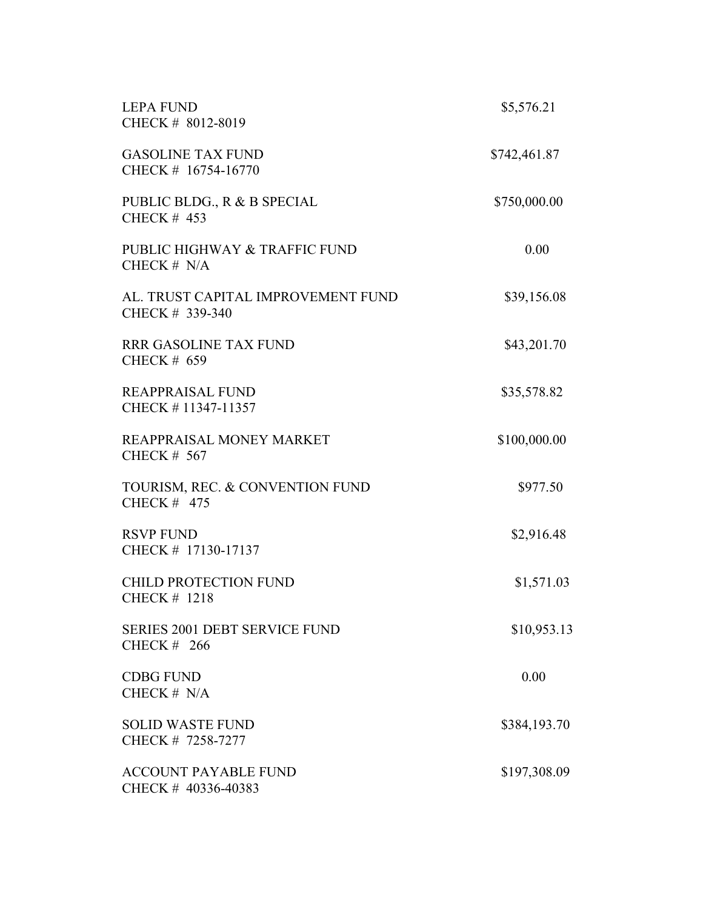| <b>LEPA FUND</b><br>CHECK # 8012-8019                 | \$5,576.21   |  |  |
|-------------------------------------------------------|--------------|--|--|
| <b>GASOLINE TAX FUND</b><br>CHECK # 16754-16770       | \$742,461.87 |  |  |
| PUBLIC BLDG., R & B SPECIAL<br><b>CHECK # 453</b>     | \$750,000.00 |  |  |
| PUBLIC HIGHWAY & TRAFFIC FUND<br>CHECK # N/A          | 0.00         |  |  |
| AL. TRUST CAPITAL IMPROVEMENT FUND<br>CHECK # 339-340 | \$39,156.08  |  |  |
| <b>RRR GASOLINE TAX FUND</b><br><b>CHECK # 659</b>    | \$43,201.70  |  |  |
| <b>REAPPRAISAL FUND</b><br>CHECK #11347-11357         | \$35,578.82  |  |  |
| REAPPRAISAL MONEY MARKET<br><b>CHECK # 567</b>        | \$100,000.00 |  |  |
| TOURISM, REC. & CONVENTION FUND<br>CHECK $#$ 475      | \$977.50     |  |  |
| <b>RSVP FUND</b><br>CHECK # 17130-17137               | \$2,916.48   |  |  |
| <b>CHILD PROTECTION FUND</b><br><b>CHECK # 1218</b>   | \$1,571.03   |  |  |
| <b>SERIES 2001 DEBT SERVICE FUND</b><br>CHECK $#266$  | \$10,953.13  |  |  |
| <b>CDBG FUND</b><br>CHECK $# N/A$                     | 0.00         |  |  |
| <b>SOLID WASTE FUND</b><br>CHECK # 7258-7277          | \$384,193.70 |  |  |
| <b>ACCOUNT PAYABLE FUND</b><br>CHECK # 40336-40383    | \$197,308.09 |  |  |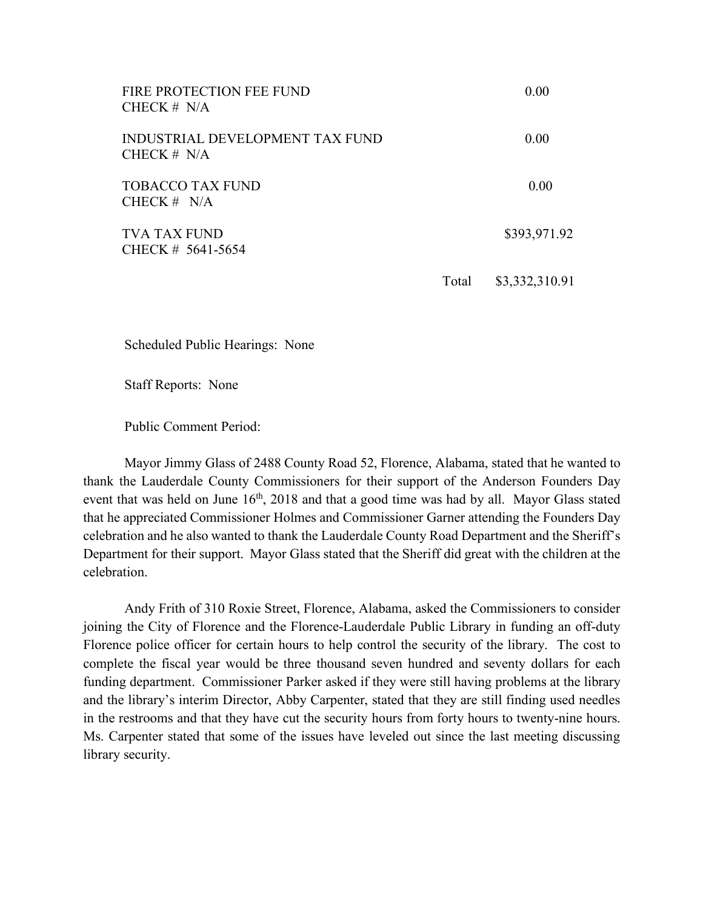| FIRE PROTECTION FEE FUND<br>CHECK $# N/A$        |       | 0.00           |
|--------------------------------------------------|-------|----------------|
| INDUSTRIAL DEVELOPMENT TAX FUND<br>CHECK $# N/A$ |       | 0.00           |
| <b>TOBACCO TAX FUND</b><br>CHECK $# N/A$         |       | 0.00           |
| <b>TVA TAX FUND</b><br>CHECK # 5641-5654         |       | \$393,971.92   |
|                                                  | Total | \$3,332,310.91 |

Scheduled Public Hearings: None

Staff Reports: None

Public Comment Period:

Mayor Jimmy Glass of 2488 County Road 52, Florence, Alabama, stated that he wanted to thank the Lauderdale County Commissioners for their support of the Anderson Founders Day event that was held on June 16<sup>th</sup>, 2018 and that a good time was had by all. Mayor Glass stated that he appreciated Commissioner Holmes and Commissioner Garner attending the Founders Day celebration and he also wanted to thank the Lauderdale County Road Department and the Sheriff's Department for their support. Mayor Glass stated that the Sheriff did great with the children at the celebration.

Andy Frith of 310 Roxie Street, Florence, Alabama, asked the Commissioners to consider joining the City of Florence and the Florence-Lauderdale Public Library in funding an off-duty Florence police officer for certain hours to help control the security of the library. The cost to complete the fiscal year would be three thousand seven hundred and seventy dollars for each funding department. Commissioner Parker asked if they were still having problems at the library and the library's interim Director, Abby Carpenter, stated that they are still finding used needles in the restrooms and that they have cut the security hours from forty hours to twenty-nine hours. Ms. Carpenter stated that some of the issues have leveled out since the last meeting discussing library security.